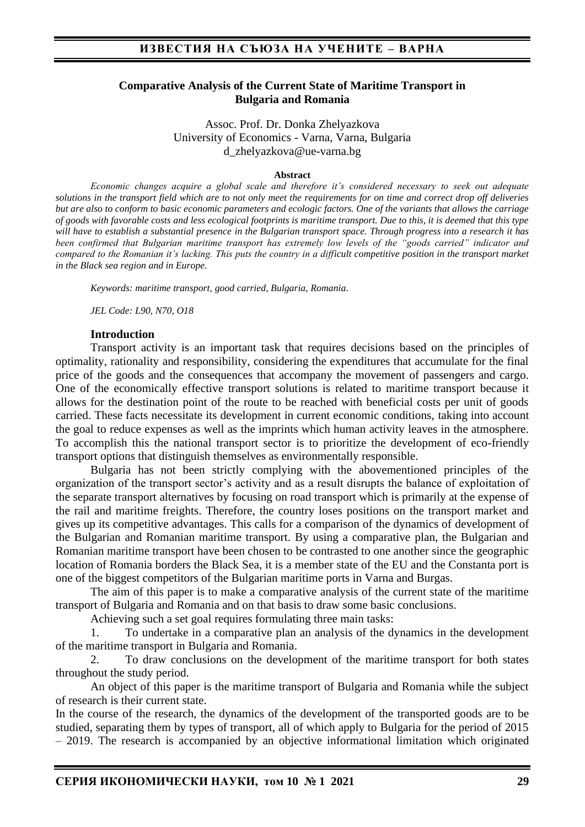#### **Comparative Analysis of the Current State of Maritime Transport in Bulgaria and Romania**

Assoc. Prof. Dr. Donka Zhelyazkova University of Economics - Varna, Varna, Bulgaria d\_zhelyazkova@ue-varna.bg

#### **Abstract**

*Economic changes acquire a global scale and therefore it's considered necessary to seek out adequate solutions in the transport field which are to not only meet the requirements for on time and correct drop off deliveries but are also to conform to basic economic parameters and ecologic factors. One of the variants that allows the carriage of goods with favorable costs and less ecological footprints is maritime transport. Due to this, it is deemed that this type will have to establish a substantial presence in the Bulgarian transport space. Through progress into a research it has been confirmed that Bulgarian maritime transport has extremely low levels of the "goods carried" indicator and compared to the Romanian it's lacking. This puts the country in a difficult competitive position in the transport market in the Black sea region and in Europe.* 

*Keywords: maritime transport, good carried, Bulgaria, Romania.*

*JEL Code: L90, N70, O18* 

#### **Introduction**

Transport activity is an important task that requires decisions based on the principles of optimality, rationality and responsibility, considering the expenditures that accumulate for the final price of the goods and the consequences that accompany the movement of passengers and cargo. One of the economically effective transport solutions is related to maritime transport because it allows for the destination point of the route to be reached with beneficial costs per unit of goods carried. These facts necessitate its development in current economic conditions, taking into account the goal to reduce expenses as well as the imprints which human activity leaves in the atmosphere. To accomplish this the national transport sector is to prioritize the development of eco-friendly transport options that distinguish themselves as environmentally responsible.

Bulgaria has not been strictly complying with the abovementioned principles of the organization of the transport sector's activity and as a result disrupts the balance of exploitation of the separate transport alternatives by focusing on road transport which is primarily at the expense of the rail and maritime freights. Therefore, the country loses positions on the transport market and gives up its competitive advantages. This calls for a comparison of the dynamics of development of the Bulgarian and Romanian maritime transport. By using a comparative plan, the Bulgarian and Romanian maritime transport have been chosen to be contrasted to one another since the geographic location of Romania borders the Black Sea, it is a member state of the EU and the Constanta port is one of the biggest competitors of the Bulgarian maritime ports in Varna and Burgas.

The aim of this paper is to make a comparative analysis of the current state of the maritime transport of Bulgaria and Romania and on that basis to draw some basic conclusions.

Achieving such a set goal requires formulating three main tasks:

1. To undertake in a comparative plan an analysis of the dynamics in the development of the maritime transport in Bulgaria and Romania.

2. To draw conclusions on the development of the maritime transport for both states throughout the study period.

An object of this paper is the maritime transport of Bulgaria and Romania while the subject of research is their current state.

In the course of the research, the dynamics of the development of the transported goods are to be studied, separating them by types of transport, all of which apply to Bulgaria for the period of 2015 – 2019. The research is accompanied by an objective informational limitation which originated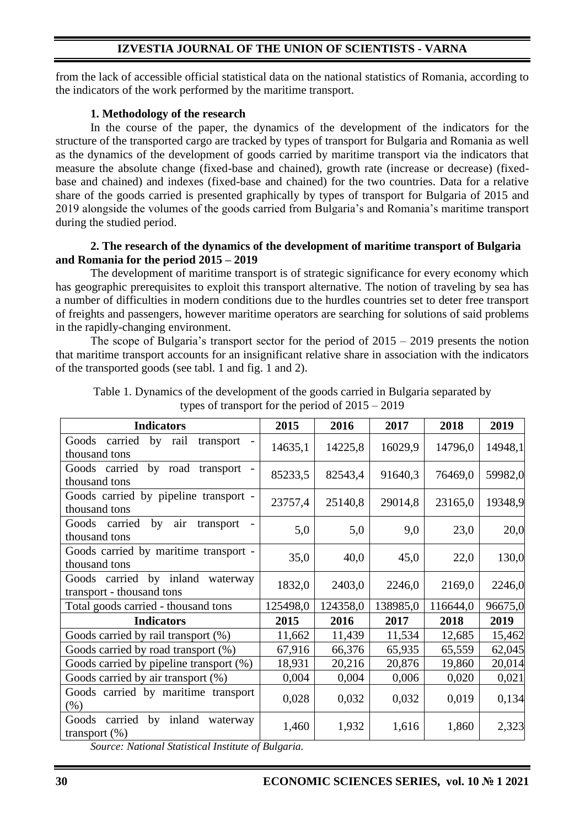# **IZVESTIA JOURNAL OF THE UNION OF SCIENTISTS - VARNA**

from the lack of accessible official statistical data on the national statistics of Romania, according to the indicators of the work performed by the maritime transport.

### **1. Methodology of the research**

In the course of the paper, the dynamics of the development of the indicators for the structure of the transported cargo are tracked by types of transport for Bulgaria and Romania as well as the dynamics of the development of goods carried by maritime transport via the indicators that measure the absolute change (fixed-base and chained), growth rate (increase or decrease) (fixedbase and chained) and indexes (fixed-base and chained) for the two countries. Data for a relative share of the goods carried is presented graphically by types of transport for Bulgaria of 2015 and 2019 alongside the volumes of the goods carried from Bulgaria's and Romania's maritime transport during the studied period.

### **2. The research of the dynamics of the development of maritime transport of Bulgaria and Romania for the period 2015 – 2019**

The development of maritime transport is of strategic significance for every economy which has geographic prerequisites to exploit this transport alternative. The notion of traveling by sea has a number of difficulties in modern conditions due to the hurdles countries set to deter free transport of freights and passengers, however maritime operators are searching for solutions of said problems in the rapidly-changing environment.

The scope of Bulgaria's transport sector for the period of  $2015 - 2019$  presents the notion that maritime transport accounts for an insignificant relative share in association with the indicators of the transported goods (see tabl. 1 and fig. 1 and 2).

| <b>Indicators</b>                                             | 2015     | 2016     | 2017     | 2018     | 2019    |
|---------------------------------------------------------------|----------|----------|----------|----------|---------|
| Goods carried<br>by rail<br>transport<br>thousand tons        | 14635,1  | 14225,8  | 16029,9  | 14796,0  | 14948,1 |
| Goods carried<br>by road transport<br>thousand tons           | 85233,5  | 82543,4  | 91640,3  | 76469,0  | 59982,0 |
| Goods carried by pipeline transport -<br>thousand tons        | 23757,4  | 25140,8  | 29014,8  | 23165,0  | 19348,9 |
| by<br>air<br>Goods carried<br>transport<br>thousand tons      | 5,0      | 5,0      | 9,0      | 23,0     | 20,0    |
| Goods carried by maritime transport -<br>thousand tons        | 35,0     | 40,0     | 45,0     | 22,0     | 130,0   |
| Goods carried by inland waterway<br>transport - thousand tons | 1832,0   | 2403,0   | 2246,0   | 2169,0   | 2246,0  |
| Total goods carried - thousand tons                           | 125498,0 | 124358,0 | 138985,0 | 116644,0 | 96675,0 |
| <b>Indicators</b>                                             | 2015     | 2016     | 2017     | 2018     | 2019    |
| Goods carried by rail transport (%)                           | 11,662   | 11,439   | 11,534   | 12,685   | 15,462  |
| Goods carried by road transport (%)                           | 67,916   | 66,376   | 65,935   | 65,559   | 62,045  |
| Goods carried by pipeline transport (%)                       | 18,931   | 20,216   | 20,876   | 19,860   | 20,014  |
| Goods carried by air transport (%)                            | 0,004    | 0,004    | 0,006    | 0,020    | 0,021   |
| Goods carried by maritime transport<br>$(\% )$                | 0,028    | 0,032    | 0,032    | 0,019    | 0,134   |
| carried<br>by inland waterway<br>Goods<br>transport $(\%)$    | 1,460    | 1,932    | 1,616    | 1,860    | 2,323   |

Table 1. Dynamics of the development of the goods carried in Bulgaria separated by types of transport for the period of 2015 – 2019

*Source: National Statistical Institute of Bulgaria.*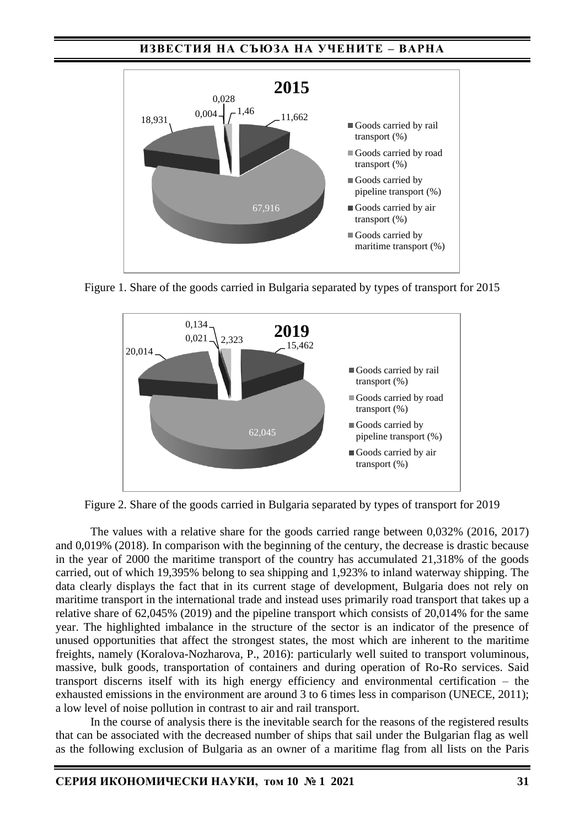## **ИЗВЕСТИЯ НА СЪЮЗА НА УЧЕНИТЕ – ВАРНА**



Figure 1. Share of the goods carried in Bulgaria separated by types of transport for 2015



Figure 2. Share of the goods carried in Bulgaria separated by types of transport for 2019

The values with a relative share for the goods carried range between 0,032% (2016, 2017) and 0,019% (2018). In comparison with the beginning of the century, the decrease is drastic because in the year of 2000 the maritime transport of the country has accumulated 21,318% of the goods carried, out of which 19,395% belong to sea shipping and 1,923% to inland waterway shipping. The data clearly displays the fact that in its current stage of development, Bulgaria does not rely on maritime transport in the international trade and instead uses primarily road transport that takes up a relative share of 62,045% (2019) and the pipeline transport which consists of 20,014% for the same year. The highlighted imbalance in the structure of the sector is an indicator of the presence of unused opportunities that affect the strongest states, the most which are inherent to the maritime freights, namely (Koralova-Nozharova, P., 2016): particularly well suited to transport voluminous, massive, bulk goods, transportation of containers and during operation of Ro-Ro services. Said transport discerns itself with its high energy efficiency and environmental certification – the exhausted emissions in the environment are around 3 to 6 times less in comparison (UNECE, 2011); a low level of noise pollution in contrast to air and rail transport.

In the course of analysis there is the inevitable search for the reasons of the registered results that can be associated with the decreased number of ships that sail under the Bulgarian flag as well as the following exclusion of Bulgaria as an owner of a maritime flag from all lists on the Paris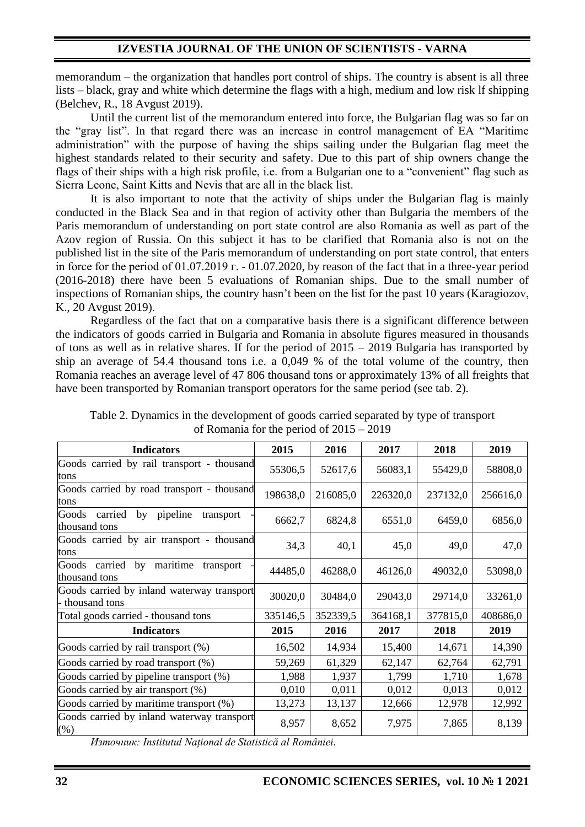memorandum – the organization that handles port control of ships. The country is absent is all three lists – black, gray and white which determine the flags with a high, medium and low risk lf shipping (Belchev, R., 18 Avgust 2019).

Until the current list of the memorandum entered into force, the Bulgarian flag was so far on the "gray list". In that regard there was an increase in control management of ЕА "Maritime administration" with the purpose of having the ships sailing under the Bulgarian flag meet the highest standards related to their security and safety. Due to this part of ship owners change the flags of their ships with a high risk profile, i.e. from a Bulgarian one to a "convenient" flag such as Siеrrа Lеоnе, Sаint Kitts аnd Nеvis that are all in the black list.

It is also important to note that the activity of ships under the Bulgarian flag is mainly conducted in the Black Sea and in that region of activity other than Bulgaria the members of the Paris memorandum of understanding on port state control are also Romania as well as part of the Azov region of Russia. On this subject it has to be clarified that Romania also is not on the published list in the site of the Paris memorandum of understanding on port state control, that enters in force for the period of 01.07.2019 г. - 01.07.2020, by reason of the fact that in a three-year period (2016-2018) there have been 5 evaluations of Romanian ships. Due to the small number of inspections of Romanian ships, the country hasn't been on the list for the past 10 years (Karagiozov, K., 20 Avgust 2019).

Regardless of the fact that on a comparative basis there is a significant difference between the indicators of goods carried in Bulgaria and Romania in absolute figures measured in thousands of tons as well as in relative shares. If for the period of 2015 – 2019 Bulgaria has transported by ship an average of 54.4 thousand tons i.e. a 0,049 % of the total volume of the country, then Romania reaches an average level of 47 806 thousand tons or approximately 13% of all freights that have been transported by Romanian transport operators for the same period (see tab. 2).

| <b>Indicators</b>                                             | 2015     | 2016     | 2017     | 2018     | 2019     |
|---------------------------------------------------------------|----------|----------|----------|----------|----------|
| Goods carried by rail transport - thousand<br>tons            | 55306,5  | 52617,6  | 56083,1  | 55429,0  | 58808,0  |
| Goods carried by road transport - thousand<br>tons            | 198638,0 | 216085,0 | 226320,0 | 237132,0 | 256616,0 |
| carried<br>by pipeline<br>Goods<br>transport<br>thousand tons | 6662,7   | 6824,8   | 6551,0   | 6459,0   | 6856,0   |
| Goods carried by air transport - thousand<br>tons             | 34,3     | 40,1     | 45,0     | 49,0     | 47,0     |
| Goods carried by maritime<br>transport<br>thousand tons       | 44485,0  | 46288,0  | 46126,0  | 49032,0  | 53098,0  |
| Goods carried by inland waterway transport<br>- thousand tons | 30020,0  | 30484,0  | 29043,0  | 29714,0  | 33261,0  |
| Total goods carried - thousand tons                           | 335146,5 | 352339,5 | 364168,1 | 377815,0 | 408686,0 |
| <b>Indicators</b>                                             | 2015     | 2016     | 2017     | 2018     | 2019     |
| Goods carried by rail transport (%)                           | 16,502   | 14,934   | 15,400   | 14,671   | 14,390   |
| Goods carried by road transport (%)                           | 59,269   | 61,329   | 62,147   | 62,764   | 62,791   |
| Goods carried by pipeline transport (%)                       | 1,988    | 1,937    | 1,799    | 1,710    | 1,678    |
| Goods carried by air transport (%)                            | 0,010    | 0,011    | 0,012    | 0,013    | 0,012    |
| Goods carried by maritime transport (%)                       | 13,273   | 13,137   | 12,666   | 12,978   | 12,992   |
| Goods carried by inland waterway transport<br>(% )            | 8,957    | 8,652    | 7,975    | 7,865    | 8,139    |

Table 2. Dynamics in the development of goods carried separated by type of transport of Romania for the period of 2015 – 2019

*Източник: Institutul Național de Statistică al României.*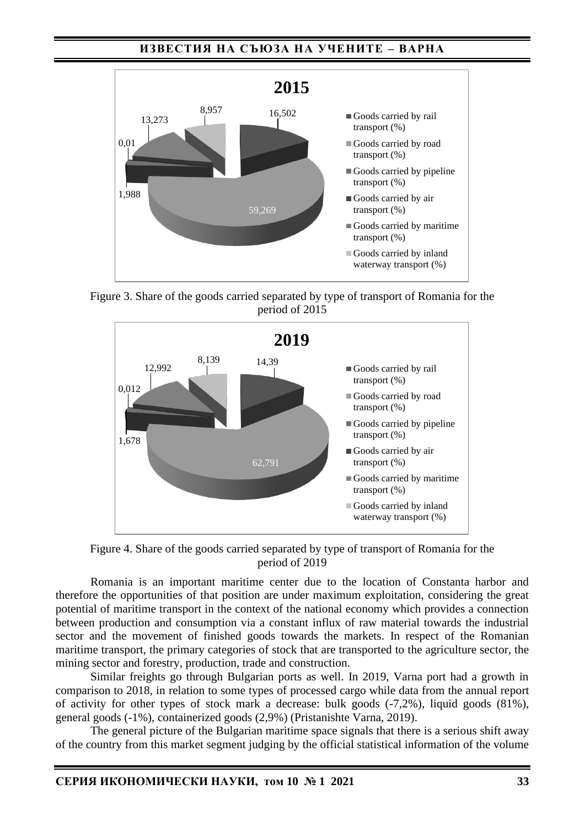## **ИЗВЕСТИЯ НА СЪЮЗА НА УЧЕНИТЕ – ВАРНА**



Figure 3. Share of the goods carried separated by type of transport of Romania for the period of 2015



Figure 4. Share of the goods carried separated by type of transport of Romania for the period of 2019

Romania is an important maritime center due to the location of Constanta harbor and therefore the opportunities of that position are under maximum exploitation, considering the great potential of maritime transport in the context of the national economy which provides a connection between production and consumption via a constant influx of raw material towards the industrial sector and the movement of finished goods towards the markets. In respect of the Romanian maritime transport, the primary categories of stock that are transported to the agriculture sector, the mining sector and forestry, production, trade and construction.

Similar freights go through Bulgarian ports as well. In 2019, Varna port had a growth in comparison to 2018, in relation to some types of processed cargo while data from the annual report of activity for other types of stock mark a decrease: bulk goods (-7,2%), liquid goods (81%), general goods (-1%), containerized goods (2,9%) (Pristanishte Varna, 2019).

The general picture of the Bulgarian maritime space signals that there is a serious shift away of the country from this market segment judging by the official statistical information of the volume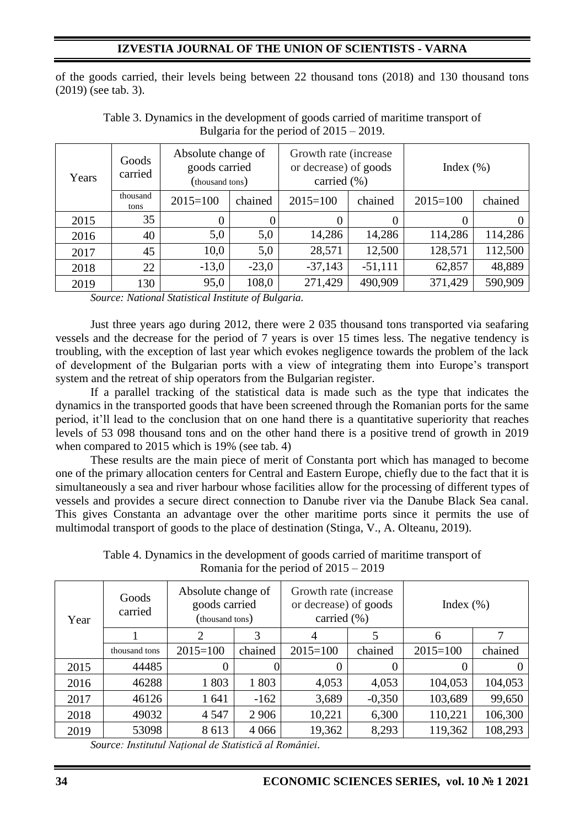# **IZVESTIA JOURNAL OF THE UNION OF SCIENTISTS - VARNA**

of the goods carried, their levels being between 22 thousand tons (2018) and 130 thousand tons (2019) (see tab. 3).

| Goods<br>carried<br>Years |                  | Absolute change of<br>goods carried<br>(thousand tons) |         | Growth rate (increase)<br>or decrease) of goods<br>carried (%) |           | Index $(\% )$ |         |
|---------------------------|------------------|--------------------------------------------------------|---------|----------------------------------------------------------------|-----------|---------------|---------|
|                           | thousand<br>tons | $2015 = 100$                                           | chained | $2015 = 100$                                                   | chained   | $2015 = 100$  | chained |
| 2015                      | 35               | $\overline{0}$                                         | 0       |                                                                | $\Omega$  | 0             |         |
| 2016                      | 40               | 5,0                                                    | 5,0     | 14,286                                                         | 14,286    | 114,286       | 114,286 |
| 2017                      | 45               | 10,0                                                   | 5,0     | 28,571                                                         | 12,500    | 128,571       | 112,500 |
| 2018                      | 22               | $-13,0$                                                | $-23,0$ | $-37,143$                                                      | $-51,111$ | 62,857        | 48,889  |
| 2019                      | 130              | 95,0                                                   | 108,0   | 271,429                                                        | 490,909   | 371,429       | 590,909 |

Table 3. Dynamics in the development of goods carried of maritime transport of Bulgaria for the period of 2015 – 2019.

*Source: National Statistical Institute of Bulgaria.*

Just three years ago during 2012, there were 2 035 thousand tons transported via seafaring vessels and the decrease for the period of 7 years is over 15 times less. The negative tendency is troubling, with the exception of last year which evokes negligence towards the problem of the lack of development of the Bulgarian ports with a view of integrating them into Europe's transport system and the retreat of ship operators from the Bulgarian register.

If a parallel tracking of the statistical data is made such as the type that indicates the dynamics in the transported goods that have been screened through the Romanian ports for the same period, it'll lead to the conclusion that on one hand there is a quantitative superiority that reaches levels of 53 098 thousand tons and on the other hand there is a positive trend of growth in 2019 when compared to 2015 which is 19% (see tab. 4)

These results are the main piece of merit of Constanta port which has managed to become one of the primary allocation centers for Central and Eastern Europe, chiefly due to the fact that it is simultaneously a sea and river harbour whose facilities allow for the processing of different types of vessels and provides a secure direct connection to Danube river via the Danube Black Sea canal. This gives Constanta an advantage over the other maritime ports since it permits the use of multimodal transport of goods to the place of destination (Stinga, V., A. Olteanu, 2019).

Table 4. Dynamics in the development of goods carried of maritime transport of Romania for the period of 2015 – 2019

| Year | Goods<br>carried | Absolute change of<br>goods carried<br>(thousand tons) |         | Growth rate (increase)<br>or decrease) of goods<br>carried $(\% )$ |          | Index $(\% )$ |                |  |
|------|------------------|--------------------------------------------------------|---------|--------------------------------------------------------------------|----------|---------------|----------------|--|
|      |                  | 2                                                      | 3       | 4                                                                  | 5        | 6             | 7              |  |
|      | thousand tons    | $2015 = 100$                                           | chained | $2015 = 100$                                                       | chained  | $2015 = 100$  | chained        |  |
| 2015 | 44485            | 0                                                      |         |                                                                    | 0        | $\theta$      | $\overline{0}$ |  |
| 2016 | 46288            | 1803                                                   | 1803    | 4,053                                                              | 4,053    | 104,053       | 104,053        |  |
| 2017 | 46126            | 1 641                                                  | $-162$  | 3,689                                                              | $-0,350$ | 103,689       | 99,650         |  |
| 2018 | 49032            | 4 5 4 7                                                | 2 9 0 6 | 10,221                                                             | 6,300    | 110,221       | 106,300        |  |
| 2019 | 53098            | 8613                                                   | 4 0 6 6 | 19,362                                                             | 8,293    | 119,362       | 108,293        |  |

*Source: Institutul Național de Statistică al României.*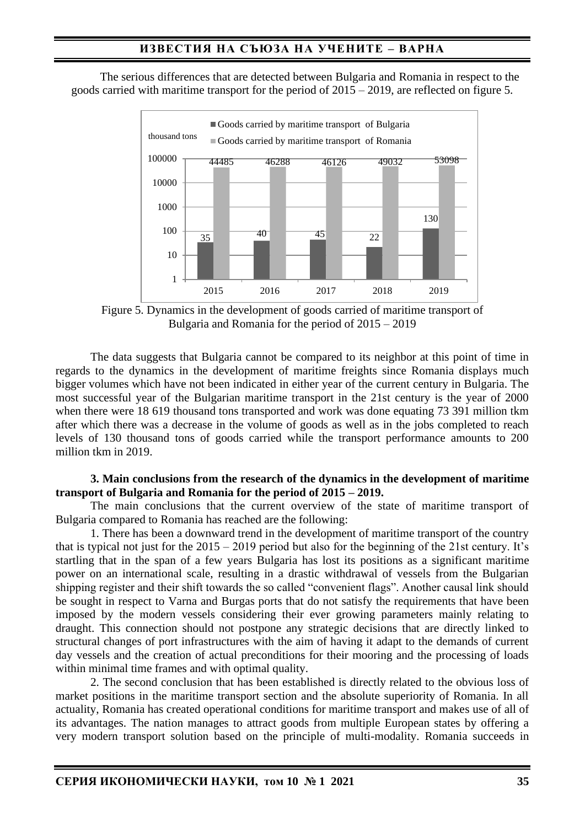The serious differences that are detected between Bulgaria and Romania in respect to the goods carried with maritime transport for the period of 2015 – 2019, are reflected on figure 5.



Figure 5. Dynamics in the development of goods carried of maritime transport of Bulgaria and Romania for the period of 2015 – 2019

The data suggests that Bulgaria cannot be compared to its neighbor at this point of time in regards to the dynamics in the development of maritime freights since Romania displays much bigger volumes which have not been indicated in either year of the current century in Bulgaria. The most successful year of the Bulgarian maritime transport in the 21st century is the year of 2000 when there were 18 619 thousand tons transported and work was done equating 73 391 million tkm after which there was a decrease in the volume of goods as well as in the jobs completed to reach levels of 130 thousand tons of goods carried while the transport performance amounts to 200 million tkm in 2019.

#### **3. Main conclusions from the research of the dynamics in the development of maritime transport of Bulgaria and Romania for the period of 2015 – 2019.**

The main conclusions that the current overview of the state of maritime transport of Bulgaria compared to Romania has reached are the following:

1. There has been a downward trend in the development of maritime transport of the country that is typical not just for the 2015 – 2019 period but also for the beginning of the 21st century. It's startling that in the span of a few years Bulgaria has lost its positions as a significant maritime power on an international scale, resulting in a drastic withdrawal of vessels from the Bulgarian shipping register and their shift towards the so called "convenient flags". Another causal link should be sought in respect to Varna and Burgas ports that do not satisfy the requirements that have been imposed by the modern vessels considering their ever growing parameters mainly relating to draught. This connection should not postpone any strategic decisions that are directly linked to structural changes of port infrastructures with the aim of having it adapt to the demands of current day vessels and the creation of actual preconditions for their mooring and the processing of loads within minimal time frames and with optimal quality.

2. The second conclusion that has been established is directly related to the obvious loss of market positions in the maritime transport section and the absolute superiority of Romania. In all actuality, Romania has created operational conditions for maritime transport and makes use of all of its advantages. The nation manages to attract goods from multiple European states by offering a very modern transport solution based on the principle of multi-modality. Romania succeeds in